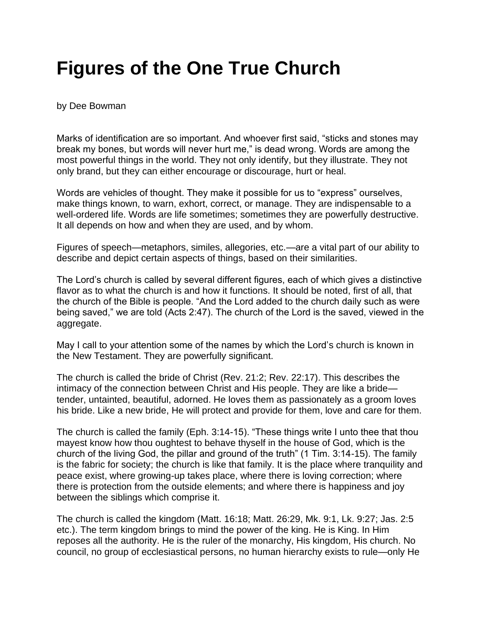## **Figures of the One True Church**

by Dee Bowman

Marks of identification are so important. And whoever first said, "sticks and stones may break my bones, but words will never hurt me," is dead wrong. Words are among the most powerful things in the world. They not only identify, but they illustrate. They not only brand, but they can either encourage or discourage, hurt or heal.

Words are vehicles of thought. They make it possible for us to "express" ourselves, make things known, to warn, exhort, correct, or manage. They are indispensable to a well-ordered life. Words are life sometimes; sometimes they are powerfully destructive. It all depends on how and when they are used, and by whom.

Figures of speech—metaphors, similes, allegories, etc.—are a vital part of our ability to describe and depict certain aspects of things, based on their similarities.

The Lord's church is called by several different figures, each of which gives a distinctive flavor as to what the church is and how it functions. It should be noted, first of all, that the church of the Bible is people. "And the Lord added to the church daily such as were being saved," we are told (Acts 2:47). The church of the Lord is the saved, viewed in the aggregate.

May I call to your attention some of the names by which the Lord's church is known in the New Testament. They are powerfully significant.

The church is called the bride of Christ (Rev. 21:2; Rev. 22:17). This describes the intimacy of the connection between Christ and His people. They are like a bride tender, untainted, beautiful, adorned. He loves them as passionately as a groom loves his bride. Like a new bride, He will protect and provide for them, love and care for them.

The church is called the family (Eph. 3:14-15). "These things write I unto thee that thou mayest know how thou oughtest to behave thyself in the house of God, which is the church of the living God, the pillar and ground of the truth" (1 Tim. 3:14-15). The family is the fabric for society; the church is like that family. It is the place where tranquility and peace exist, where growing-up takes place, where there is loving correction; where there is protection from the outside elements; and where there is happiness and joy between the siblings which comprise it.

The church is called the kingdom (Matt. 16:18; Matt. 26:29, Mk. 9:1, Lk. 9:27; Jas. 2:5 etc.). The term kingdom brings to mind the power of the king. He is King. In Him reposes all the authority. He is the ruler of the monarchy, His kingdom, His church. No council, no group of ecclesiastical persons, no human hierarchy exists to rule—only He